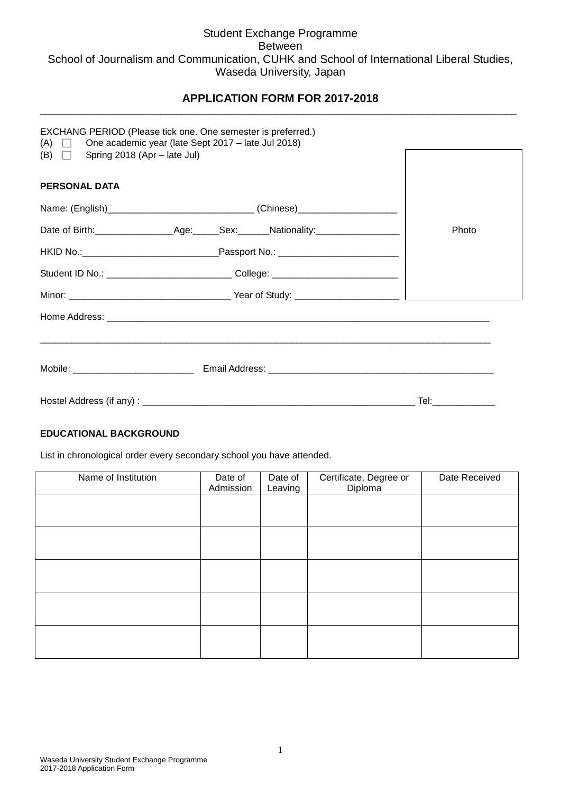# Student Exchange Programme Between School of Journalism and Communication, CUHK and School of International Liberal Studies, Waseda University, Japan

### **APPLICATION FORM FOR 2017-2018** \_\_\_\_\_\_\_\_\_\_\_\_\_\_\_\_\_\_\_\_\_\_\_\_\_\_\_\_\_\_\_\_\_\_\_\_\_\_\_\_\_\_\_\_\_\_\_\_\_\_\_\_\_\_\_\_\_\_\_\_\_\_\_\_\_\_\_\_\_\_\_\_\_\_\_\_\_\_\_\_\_\_\_\_\_\_\_\_\_\_\_

|                                         | EXCHANG PERIOD (Please tick one. One semester is preferred.)<br>(A) $\Box$ One academic year (late Sept 2017 – late Jul 2018) |                    |
|-----------------------------------------|-------------------------------------------------------------------------------------------------------------------------------|--------------------|
| (B) $\Box$ Spring 2018 (Apr – late Jul) |                                                                                                                               |                    |
| <b>PERSONAL DATA</b>                    |                                                                                                                               |                    |
|                                         | Name: (English)__________________________________(Chinese)______________________                                              |                    |
|                                         |                                                                                                                               | Photo              |
|                                         |                                                                                                                               |                    |
|                                         | Student ID No.: __________________________________College: _____________________                                              |                    |
|                                         |                                                                                                                               |                    |
|                                         |                                                                                                                               |                    |
|                                         |                                                                                                                               |                    |
|                                         |                                                                                                                               |                    |
|                                         |                                                                                                                               | Tel:______________ |

#### **EDUCATIONAL BACKGROUND**

List in chronological order every secondary school you have attended.

| Name of Institution | Date of<br>Admission | Date of<br>Leaving | Certificate, Degree or<br>Diploma | Date Received |
|---------------------|----------------------|--------------------|-----------------------------------|---------------|
|                     |                      |                    |                                   |               |
|                     |                      |                    |                                   |               |
|                     |                      |                    |                                   |               |
|                     |                      |                    |                                   |               |
|                     |                      |                    |                                   |               |
|                     |                      |                    |                                   |               |
|                     |                      |                    |                                   |               |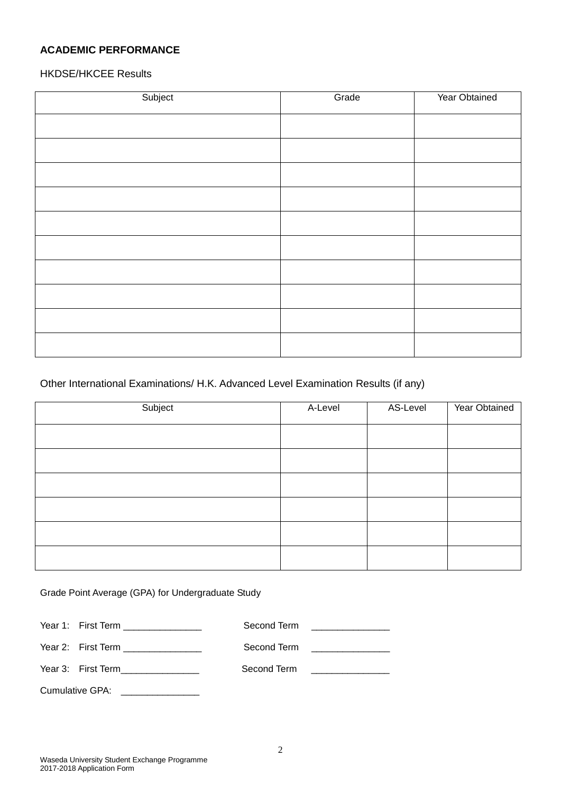# **ACADEMIC PERFORMANCE**

### HKDSE/HKCEE Results

| Subject | Grade | Year Obtained |
|---------|-------|---------------|
|         |       |               |
|         |       |               |
|         |       |               |
|         |       |               |
|         |       |               |
|         |       |               |
|         |       |               |
|         |       |               |
|         |       |               |
|         |       |               |
|         |       |               |

#### Other International Examinations/ H.K. Advanced Level Examination Results (if any)

| Subject | A-Level | AS-Level | Year Obtained |
|---------|---------|----------|---------------|
|         |         |          |               |
|         |         |          |               |
|         |         |          |               |
|         |         |          |               |
|         |         |          |               |
|         |         |          |               |

Grade Point Average (GPA) for Undergraduate Study

| Year 1: First Term ________________ | Second Term | <u> 1980 - Jan Samman, Amerikaansk politiker (</u>                                                                                                                                                                            |
|-------------------------------------|-------------|-------------------------------------------------------------------------------------------------------------------------------------------------------------------------------------------------------------------------------|
| Year 2: First Term ________________ |             | Second Term in the second of the second second second second second second second second second second second second second second second second second second second second second second second second second second second |
| Year 3: First Term________________  | Second Term | <u> 1980 - Jan Samuel Barbara, martin a</u>                                                                                                                                                                                   |
| Cumulative GPA:                     |             |                                                                                                                                                                                                                               |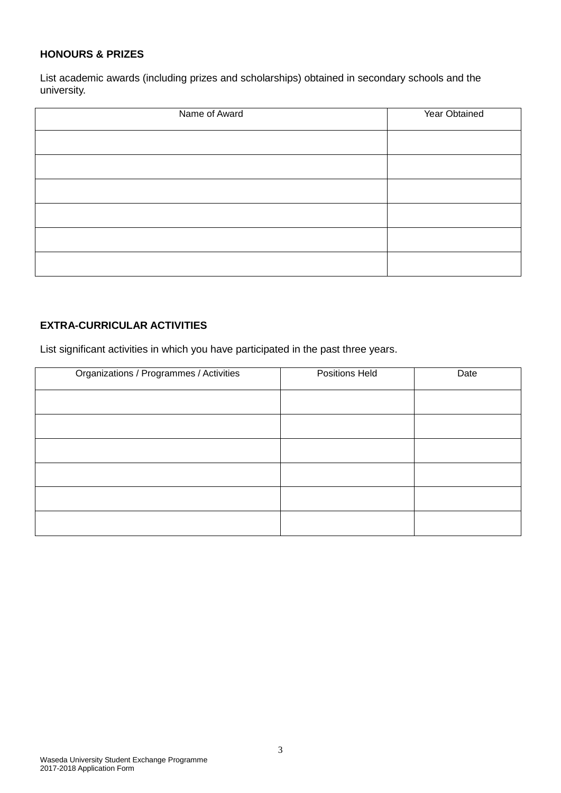### **HONOURS & PRIZES**

List academic awards (including prizes and scholarships) obtained in secondary schools and the university.

| Name of Award | Year Obtained |
|---------------|---------------|
|               |               |
|               |               |
|               |               |
|               |               |
|               |               |
|               |               |

# **EXTRA-CURRICULAR ACTIVITIES**

List significant activities in which you have participated in the past three years.

| Organizations / Programmes / Activities | Positions Held | Date |
|-----------------------------------------|----------------|------|
|                                         |                |      |
|                                         |                |      |
|                                         |                |      |
|                                         |                |      |
|                                         |                |      |
|                                         |                |      |